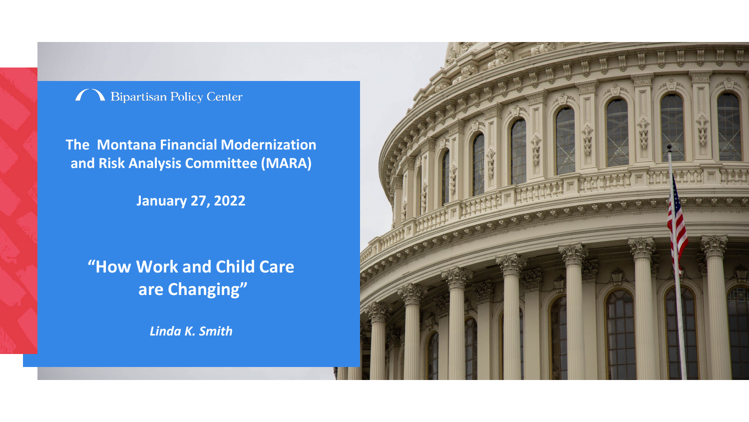#### Bipartisan Policy Center

**The Montana Financial Modernization and Risk Analysis Committee (MARA)**

**January 27, 2022**

**"How Work and Child Care are Changing"** 

*Linda K. Smith*

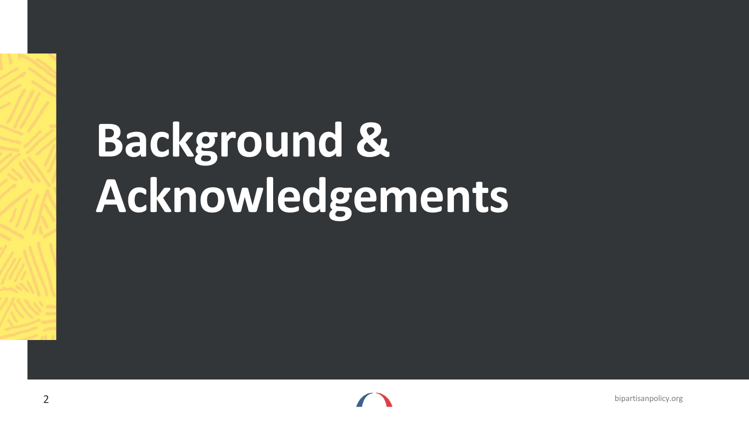# **Background & Acknowledgements**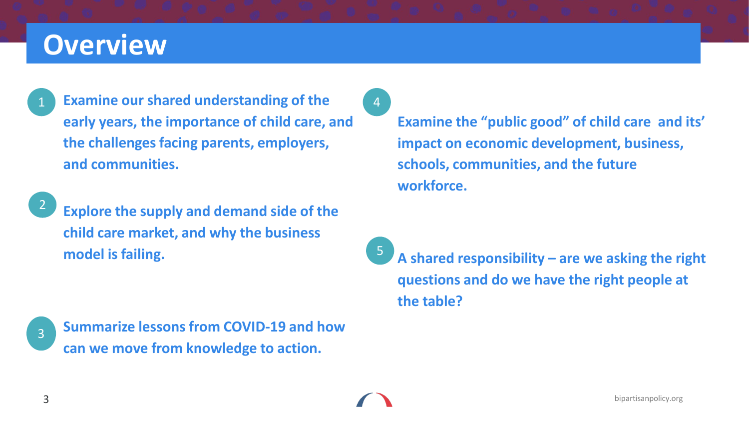#### **Overview**

1

**Examine our shared understanding of the early years, the importance of child care, and the challenges facing parents, employers, and communities.**



**Explore the supply and demand side of the child care market, and why the business model is failing.** 

**Summarize lessons from COVID-19 and how can we move from knowledge to action.** 3

4

**Examine the "public good" of child care and its' impact on economic development, business, schools, communities, and the future workforce.** 

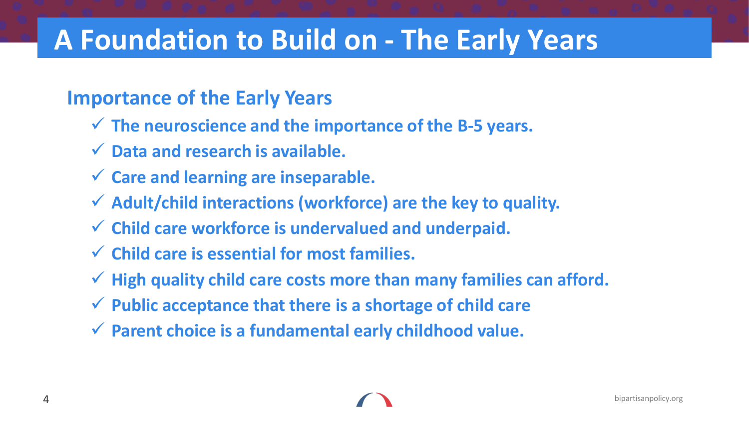### **A Foundation to Build on - The Early Years**

#### **Importance of the Early Years**

- **The neuroscience and the importance of the B-5 years.**
- **Data and research is available.**
- **Care and learning are inseparable.**
- **Adult/child interactions (workforce) are the key to quality.**
- **Child care workforce is undervalued and underpaid.**
- **Child care is essential for most families.**
- **High quality child care costs more than many families can afford.**
- **Public acceptance that there is a shortage of child care**
- **Parent choice is a fundamental early childhood value.**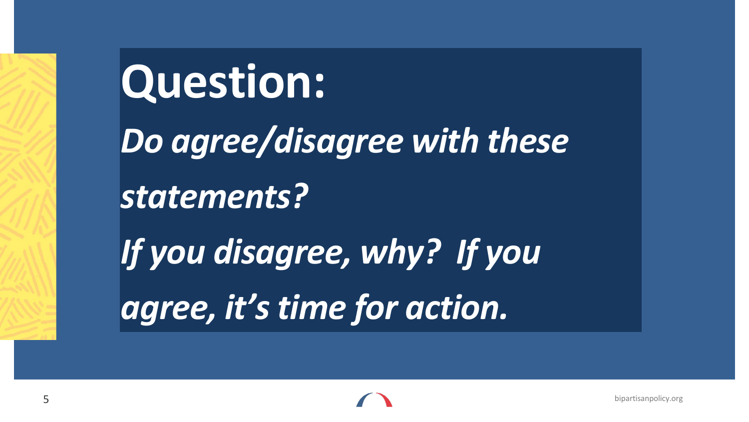**Question:**  *Do agree/disagree with these statements? If you disagree, why? If you agree, it's time for action.*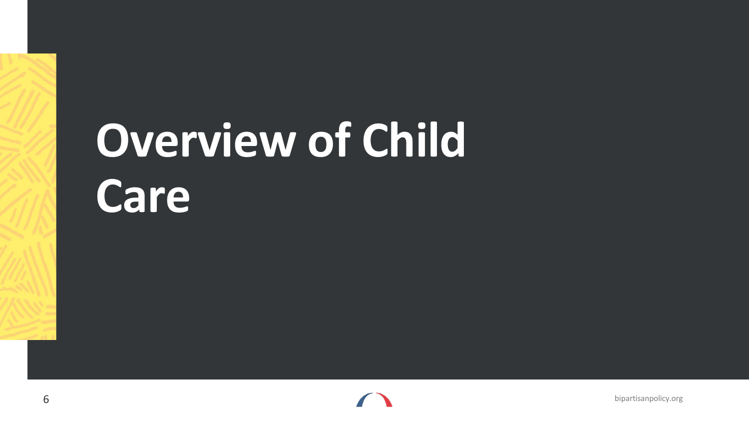## **Overview of Child Care**

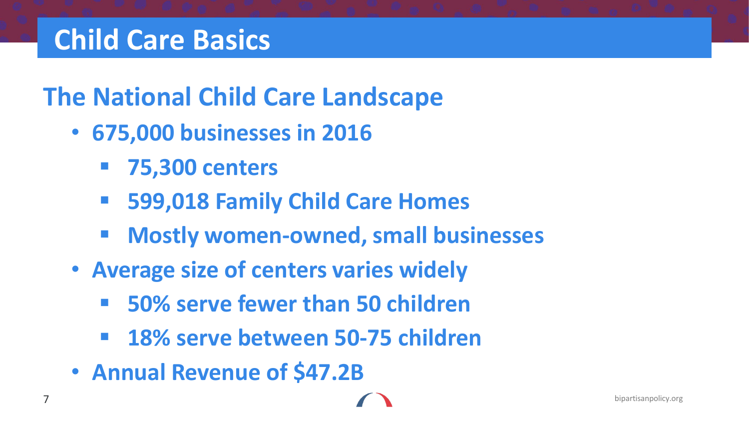## **Child Care Basics**

#### **The National Child Care Landscape**

- **675,000 businesses in 2016**
	- **75,300 centers**
	- **599,018 Family Child Care Homes**
	- **Mostly women-owned, small businesses**
- **Average size of centers varies widely**
	- **50% serve fewer than 50 children**
	- **18% serve between 50-75 children**
- **Annual Revenue of \$47.2B**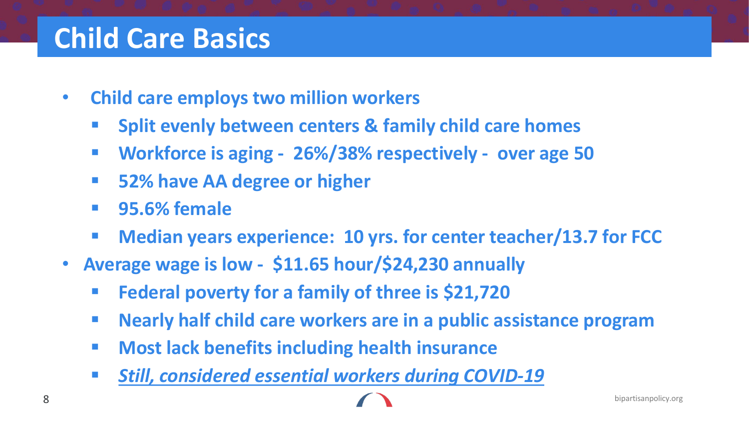#### **Child Care Basics**

- **Child care employs two million workers**
	- **Split evenly between centers & family child care homes**
	- **Workforce is aging - 26%/38% respectively - over age 50**
	- **52% have AA degree or higher**
	- **95.6% female**
	- **Median years experience: 10 yrs. for center teacher/13.7 for FCC**
- **Average wage is low - \$11.65 hour/\$24,230 annually** 
	- **Federal poverty for a family of three is \$21,720**
	- **Nearly half child care workers are in a public assistance program**
	- **E** Most lack benefits including health insurance
	- *Still, considered essential workers during COVID-19*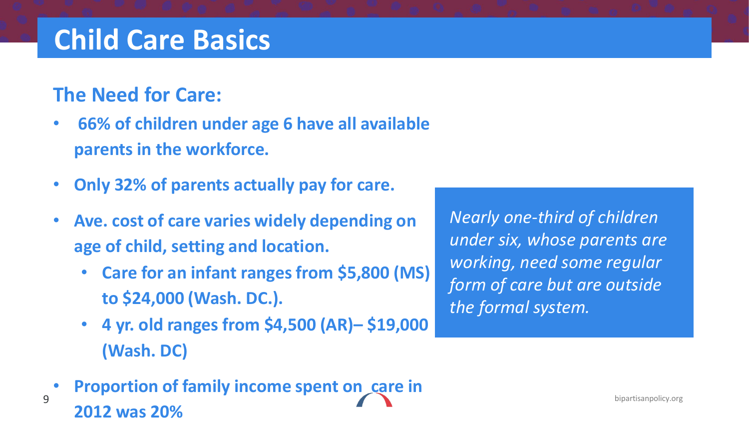### **Child Care Basics**

#### **The Need for Care:**

- **66% of children under age 6 have all available parents in the workforce.**
- **Only 32% of parents actually pay for care.**
- **Ave. cost of care varies widely depending on age of child, setting and location.**
	- **Care for an infant ranges from \$5,800 (MS) to \$24,000 (Wash. DC.).**
	- **4 yr. old ranges from \$4,500 (AR)– \$19,000 (Wash. DC)**
- 9 bipartisanpolicy.org • **Proportion of family income spent on care in 2012 was 20%**

*Nearly one-third of children under six, whose parents are working, need some regular form of care but are outside the formal system.*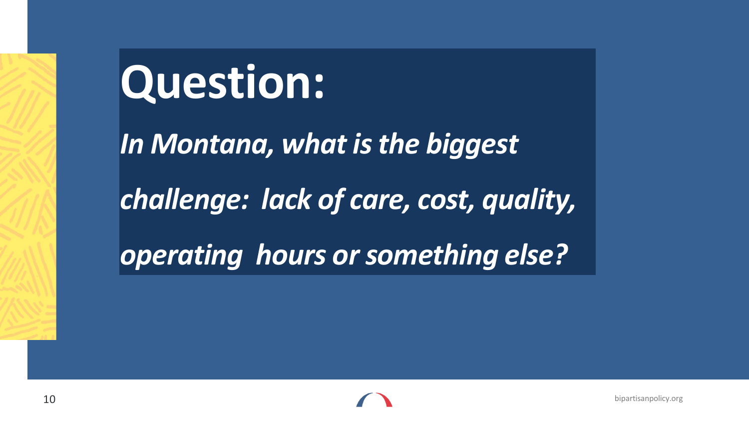## **Question:**

*In Montana, what is the biggest* 

*challenge: lack of care, cost, quality,* 

*operating hours or something else?*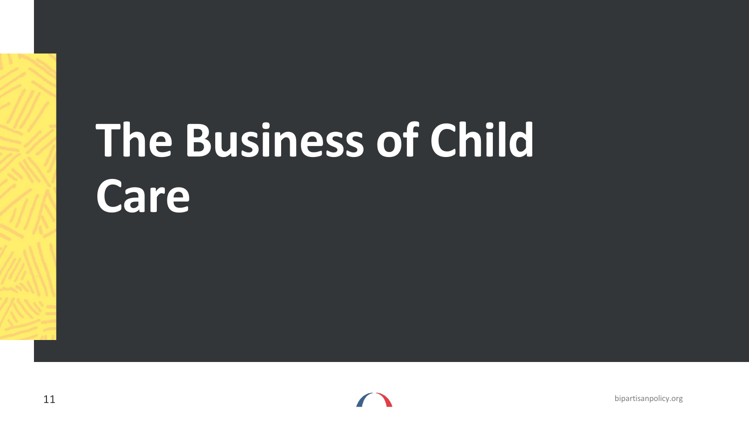# **The Business of Child Care**

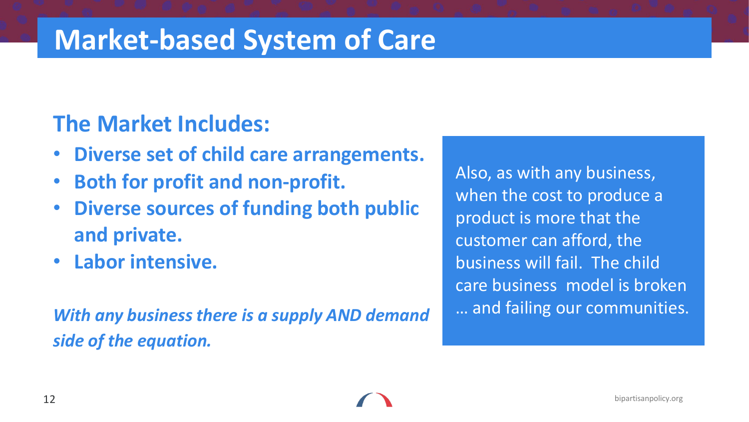#### **Market-based System of Care**

#### **The Market Includes:**

- **Diverse set of child care arrangements.**
- **Both for profit and non-profit.**
- **Diverse sources of funding both public and private.**
- **Labor intensive.**

*With any business there is a supply AND demand side of the equation.* 

Also, as with any business, when the cost to produce a product is more that the customer can afford, the business will fail. The child care business model is broken … and failing our communities.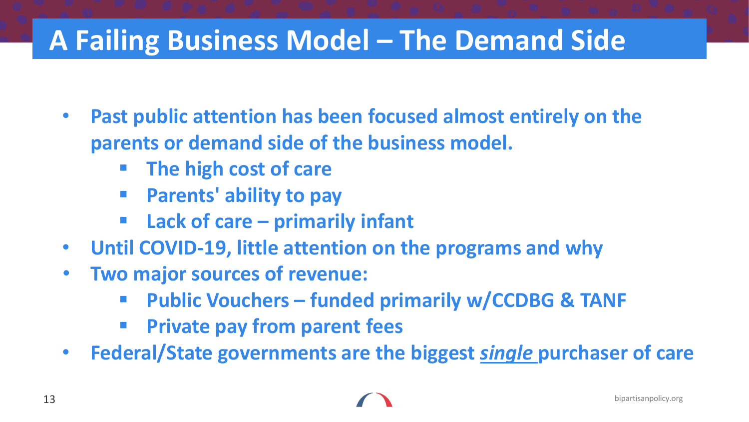### **A Failing Business Model – The Demand Side**

- **Past public attention has been focused almost entirely on the parents or demand side of the business model.**
	- **The high cost of care**
	- **Parents' ability to pay**
	- **Lack of care – primarily infant**
- **Until COVID-19, little attention on the programs and why**
- **Two major sources of revenue:**
	- **Public Vouchers – funded primarily w/CCDBG & TANF**
	- **Private pay from parent fees**
- **Federal/State governments are the biggest** *single* **purchaser of care**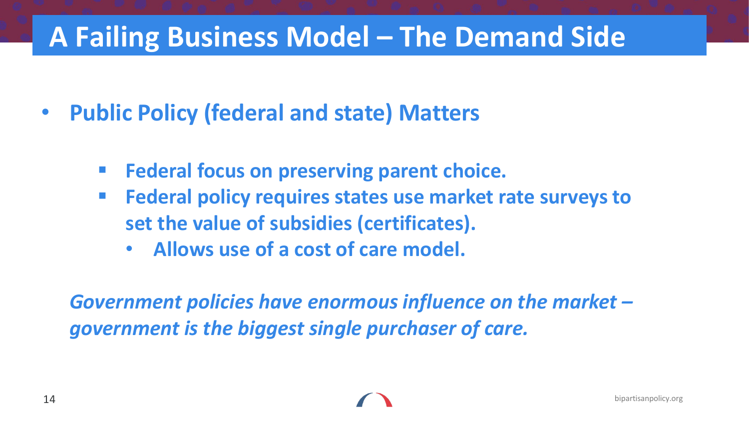#### **A Failing Business Model – The Demand Side**

- **Public Policy (federal and state) Matters**
	- **Federal focus on preserving parent choice.**
	- **Federal policy requires states use market rate surveys to set the value of subsidies (certificates).**
		- **Allows use of a cost of care model.**

*Government policies have enormous influence on the market – government is the biggest single purchaser of care.*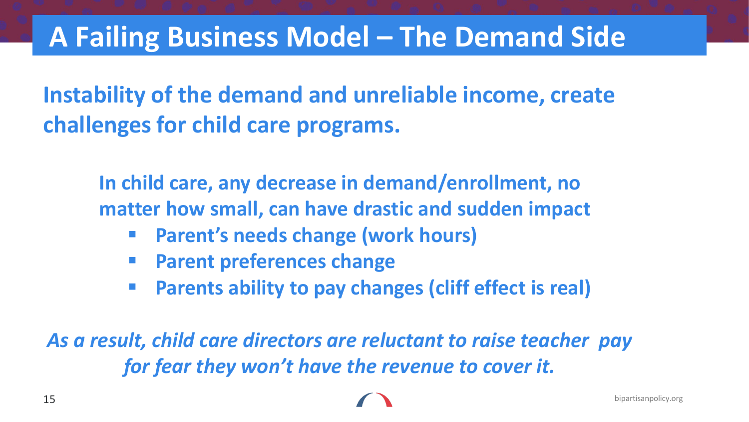#### **A Failing Business Model – The Demand Side**

#### **Instability of the demand and unreliable income, create challenges for child care programs.**

**In child care, any decrease in demand/enrollment, no matter how small, can have drastic and sudden impact**

- **Parent's needs change (work hours)**
- **Parent preferences change**
- **Parents ability to pay changes (cliff effect is real)**

*As a result, child care directors are reluctant to raise teacher pay for fear they won't have the revenue to cover it.*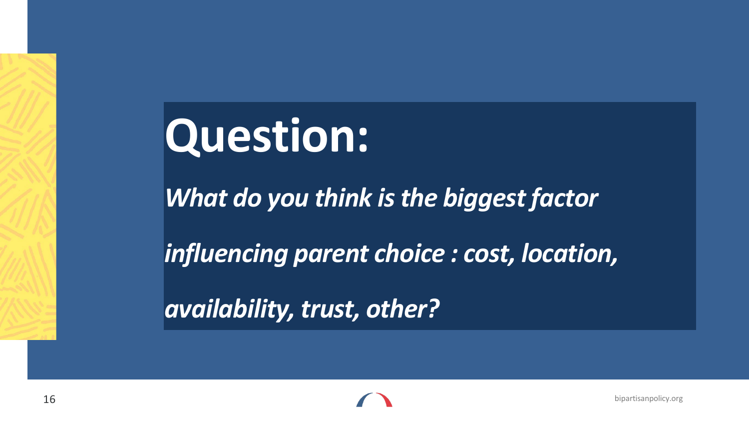## **Question:**

*What do you think is the biggest factor* 

*influencing parent choice : cost, location,* 

*availability, trust, other?*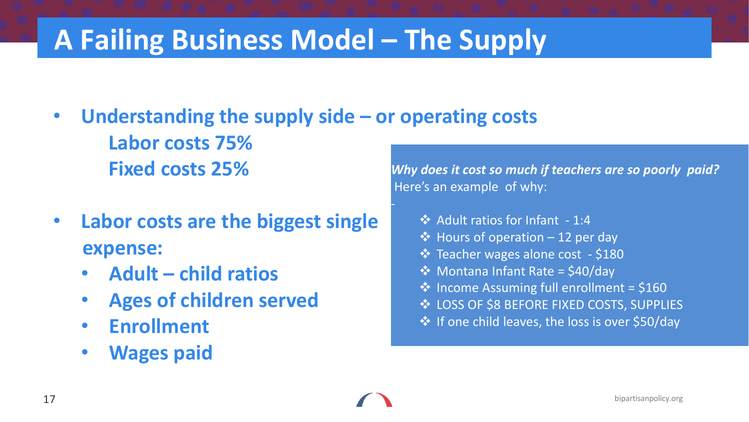### **A Failing Business Model – The Supply**

- **Understanding the supply side – or operating costs Labor costs 75% Fixed costs 25%**
- **Labor costs are the biggest single expense:**
	- **Adult – child ratios**
	- **Ages of children served**
	- **Enrollment**
	- **Wages paid**

*Why does it cost so much if teachers are so poorly paid?* Here's an example of why:

- $\rightarrow$  Adult ratios for Infant 1:4
- $\triangleq$  Hours of operation 12 per day
- Teacher wages alone cost \$180
- $\div$  Montana Infant Rate = \$40/day
- $\cdot$  Income Assuming full enrollment = \$160
- **EXAMPLES** OF \$8 BEFORE FIXED COSTS, SUPPLIES
- ❖ If one child leaves, the loss is over \$50/day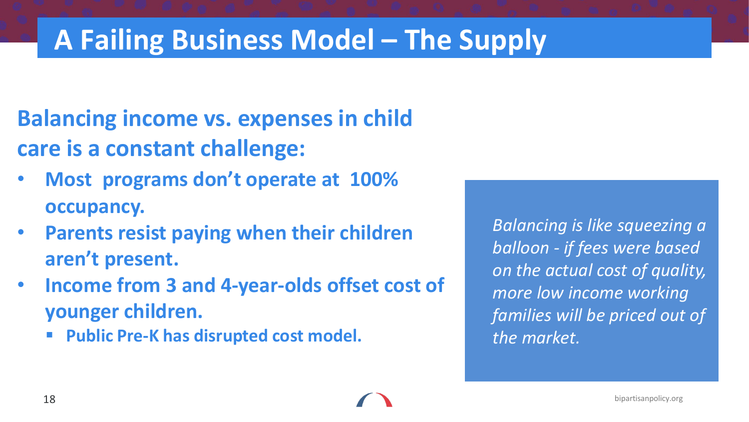#### **A Failing Business Model – The Supply**

- **Balancing income vs. expenses in child care is a constant challenge:**
- **Most programs don't operate at 100% occupancy.**
- **Parents resist paying when their children aren't present.**
- **Income from 3 and 4-year-olds offset cost of younger children.** 
	- **Public Pre-K has disrupted cost model.**

*Balancing is like squeezing a balloon - if fees were based on the actual cost of quality, more low income working families will be priced out of the market.*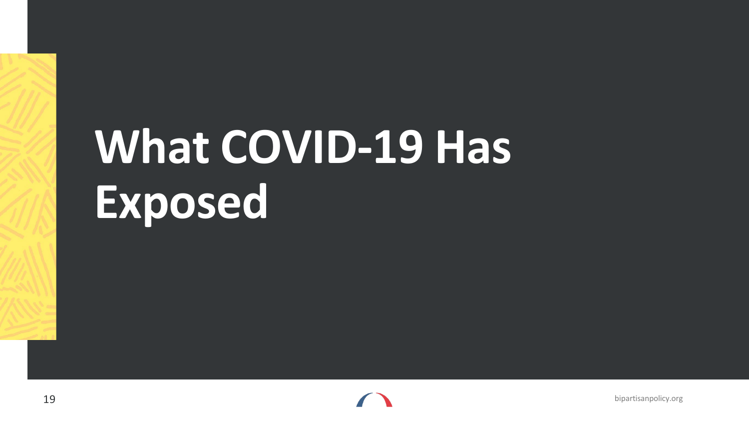## **What COVID-19 Has Exposed**

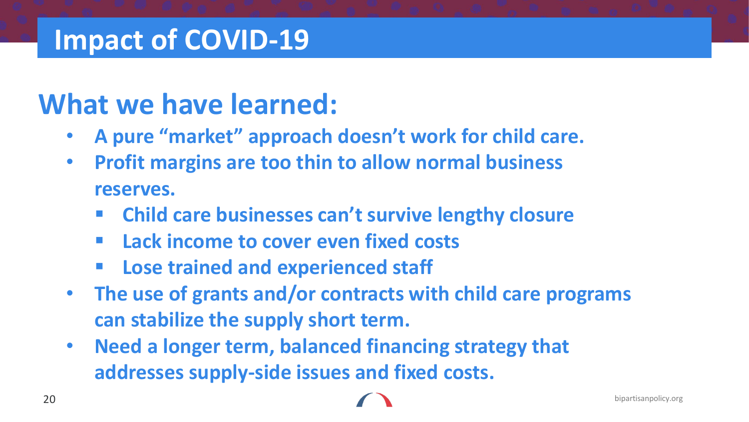#### **Impact of COVID-19**

#### **What we have learned:**

- **A pure "market" approach doesn't work for child care.**
- **Profit margins are too thin to allow normal business reserves.**
	- **Child care businesses can't survive lengthy closure**
	- **Lack income to cover even fixed costs**
	- **Lose trained and experienced staff**
- **The use of grants and/or contracts with child care programs can stabilize the supply short term.**
- **Need a longer term, balanced financing strategy that addresses supply-side issues and fixed costs.**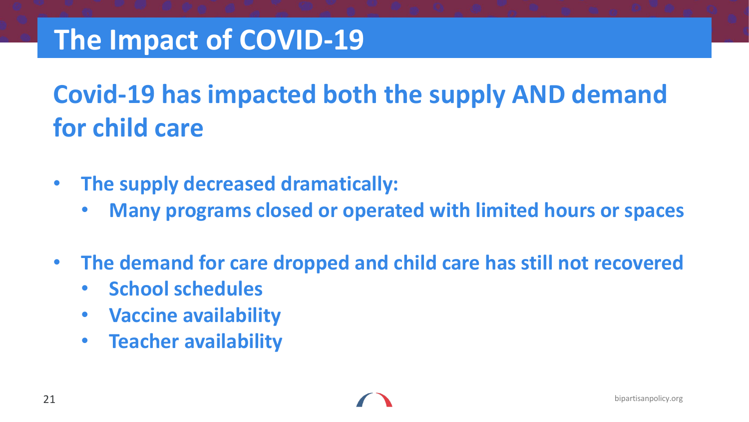### **The Impact of COVID-19**

### **Covid-19 has impacted both the supply AND demand for child care**

- **The supply decreased dramatically:**
	- **Many programs closed or operated with limited hours or spaces**
- **The demand for care dropped and child care has still not recovered**
	- **School schedules**
	- **Vaccine availability**
	- **Teacher availability**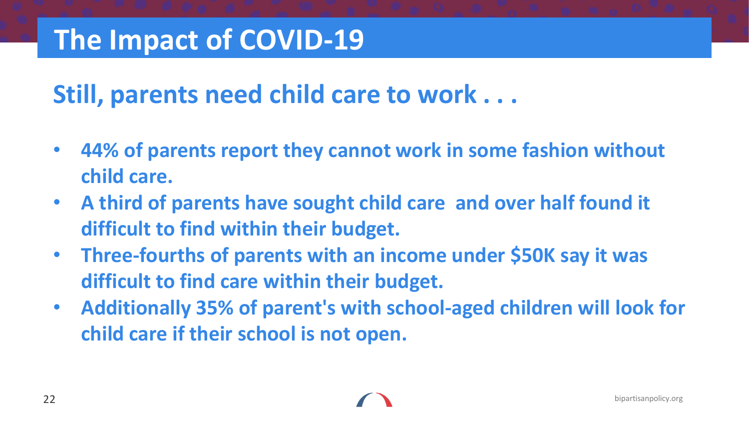## **The Impact of COVID-19**

#### **Still, parents need child care to work . . .**

- **44% of parents report they cannot work in some fashion without child care.**
- **A third of parents have sought child care and over half found it difficult to find within their budget.**
- **Three-fourths of parents with an income under \$50K say it was difficult to find care within their budget.**
- **Additionally 35% of parent's with school-aged children will look for child care if their school is not open.**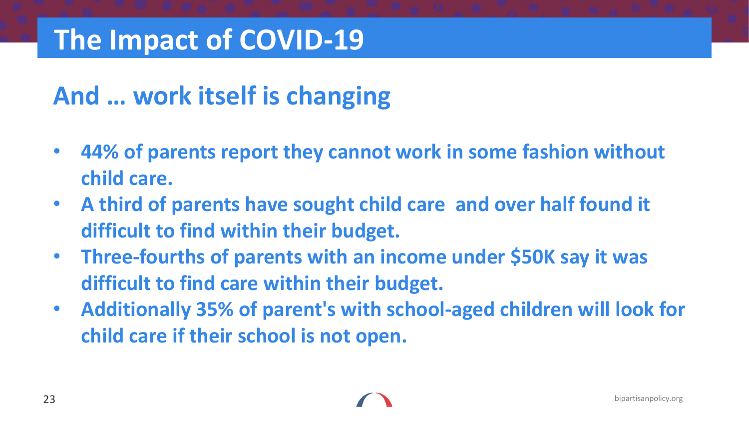### **The Impact of COVID-19**

#### **And … work itself is changing**

- **44% of parents report they cannot work in some fashion without child care.**
- **A third of parents have sought child care and over half found it difficult to find within their budget.**
- **Three-fourths of parents with an income under \$50K say it was difficult to find care within their budget.**
- **Additionally 35% of parent's with school-aged children will look for child care if their school is not open.**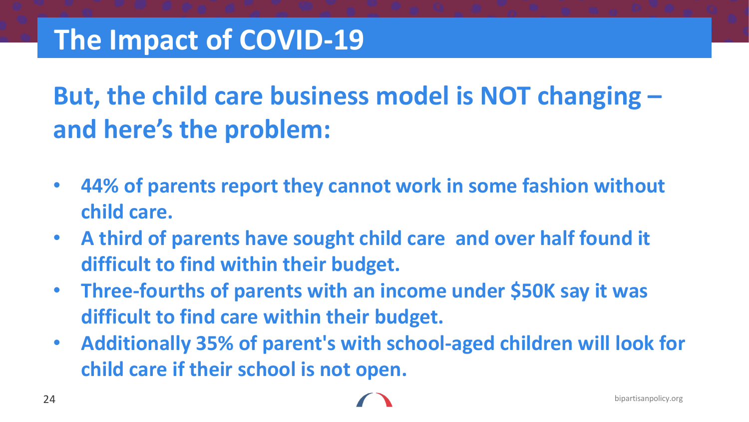## **But, the child care business model is NOT changing – and here's the problem:**

- **44% of parents report they cannot work in some fashion without child care.**
- **A third of parents have sought child care and over half found it difficult to find within their budget.**
- **Three-fourths of parents with an income under \$50K say it was difficult to find care within their budget.**
- **Additionally 35% of parent's with school-aged children will look for child care if their school is not open.**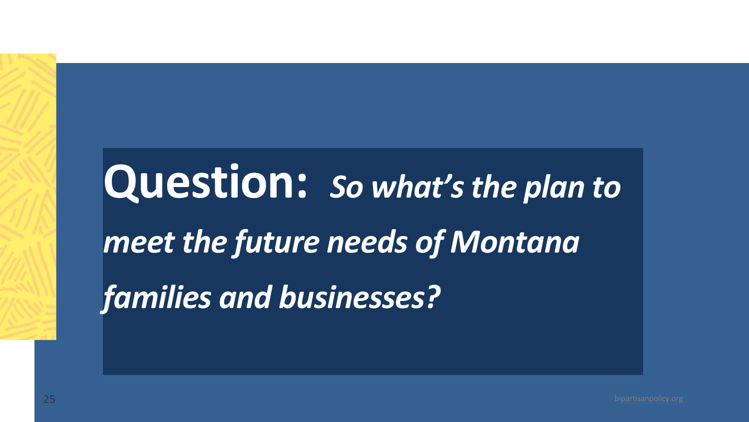## **Question:** *So what's the plan to meet the future needs of Montana families and businesses?*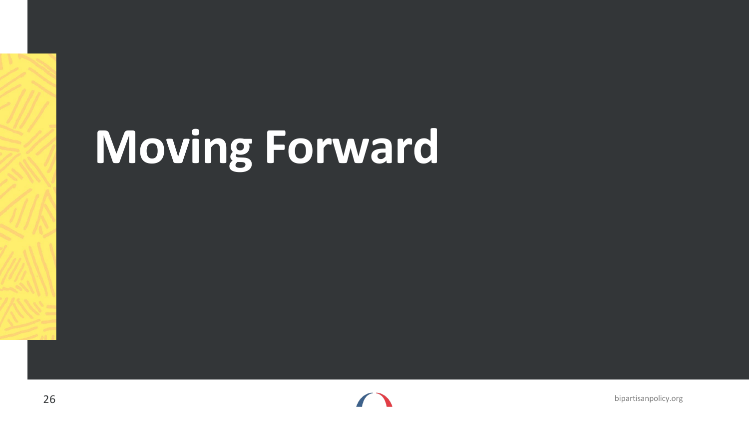## **Moving Forward**

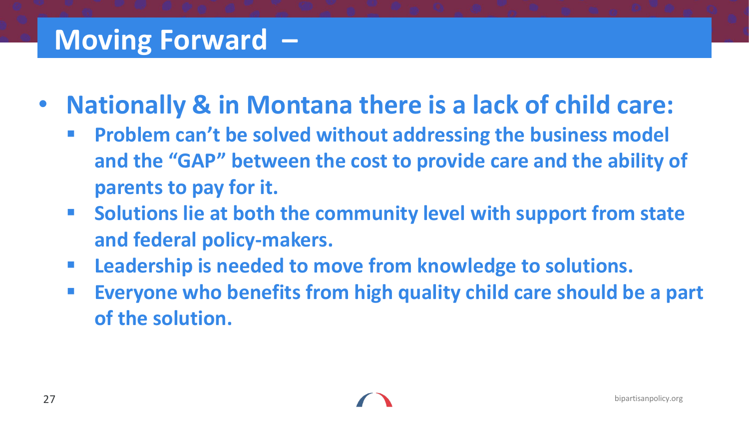#### **Moving Forward –**

- **Nationally & in Montana there is a lack of child care:** 
	- **Problem can't be solved without addressing the business model and the "GAP" between the cost to provide care and the ability of parents to pay for it.**
	- **Solutions lie at both the community level with support from state and federal policy-makers.**
	- **Leadership is needed to move from knowledge to solutions.**
	- **Everyone who benefits from high quality child care should be a part of the solution.**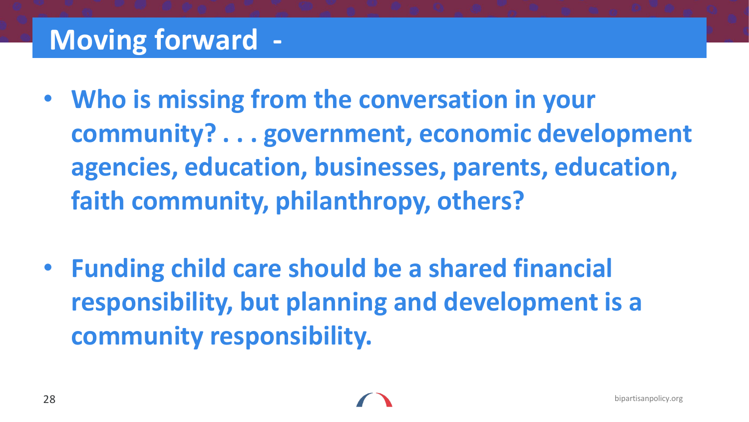## **Moving forward -**

- **Who is missing from the conversation in your community? . . . government, economic development agencies, education, businesses, parents, education, faith community, philanthropy, others?**
- **Funding child care should be a shared financial responsibility, but planning and development is a community responsibility.**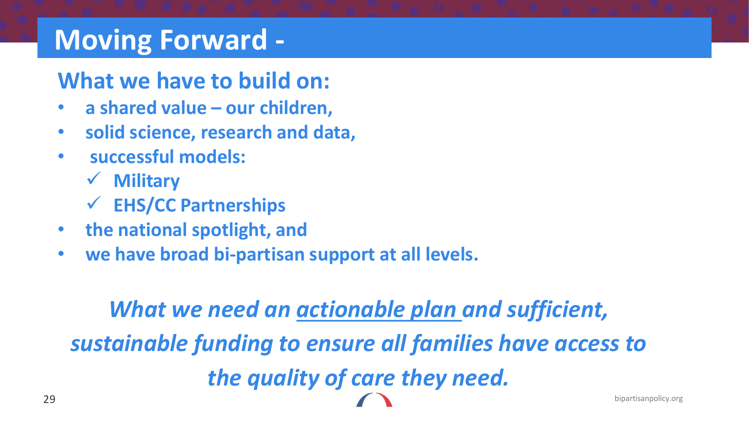#### **Moving Forward -**

#### **What we have to build on:**

- **a shared value – our children,**
- **solid science, research and data,**
- **successful models:** 
	- **Military**
	- **EHS/CC Partnerships**
- **the national spotlight, and**
- **we have broad bi-partisan support at all levels.**

## *What we need an actionable plan and sufficient, sustainable funding to ensure all families have access to the quality of care they need.*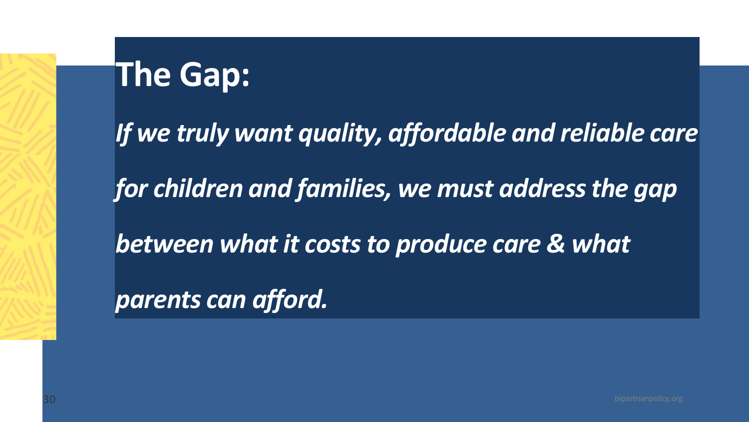## **The Gap:**

*If we truly want quality, affordable and reliable care for children and families, we must address the gap between what it costs to produce care & what parents can afford.*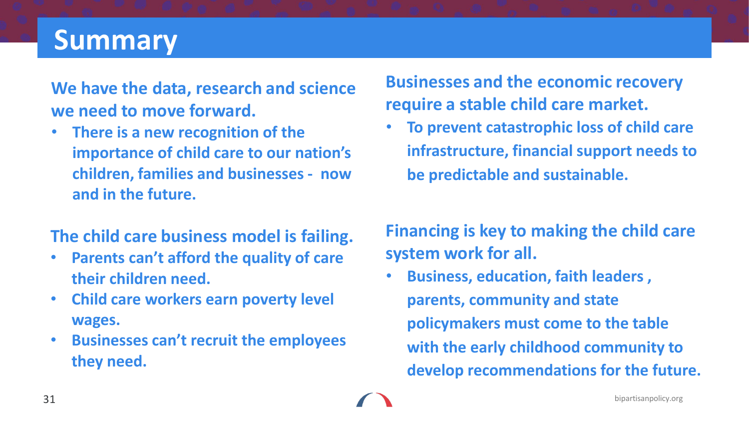## **Summary**

**We have the data, research and science we need to move forward.** 

• **There is a new recognition of the importance of child care to our nation's children, families and businesses - now and in the future.**

#### **The child care business model is failing.**

- **Parents can't afford the quality of care their children need.**
- **Child care workers earn poverty level wages.**
- **Businesses can't recruit the employees they need.**

#### **Businesses and the economic recovery require a stable child care market.**

• **To prevent catastrophic loss of child care infrastructure, financial support needs to be predictable and sustainable.**

#### **Financing is key to making the child care system work for all.**

• **Business, education, faith leaders , parents, community and state policymakers must come to the table with the early childhood community to develop recommendations for the future.**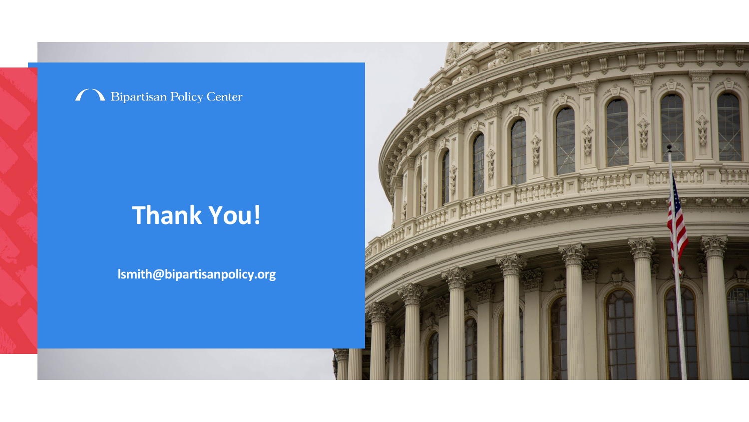#### **Bipartisan Policy Center**  $\mathbf{I}$  $\boldsymbol{r}$

#### **Thank You!**

**lsmith@bipartisanpolicy.org**

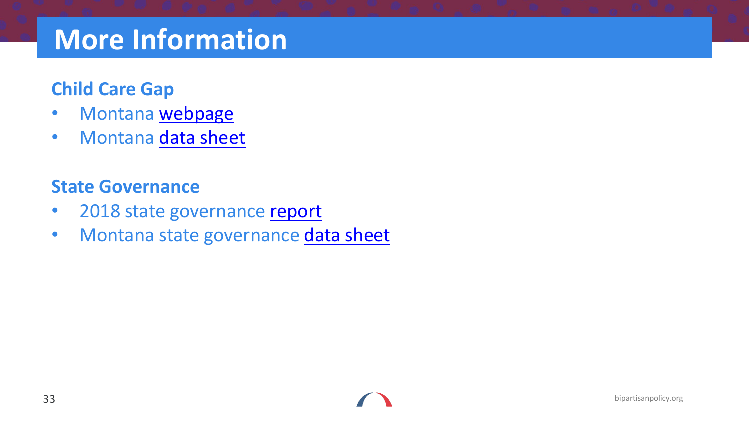### **More Information**

#### **Child Care Gap**

- Montana [webpage](https://childcaregap.org/)
- Montana [data sheet](https://childcaregap.org/assets/onePagers/Montana.pdf)

#### **State Governance**

- 2018 state governance [report](https://bipartisanpolicy.org/report/ece-administration-state-by-state/)
- Montana state governance [data sheet](https://bipartisanpolicy.org/download/?file=/wp-content/uploads/2018/12/Montana-State-Fact-Sheet.pdf)